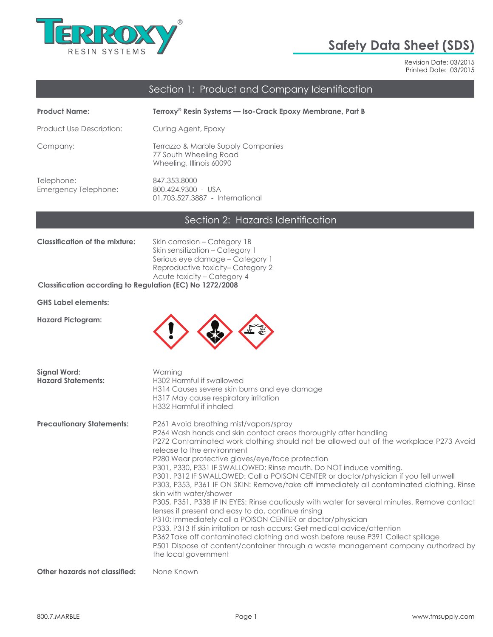

# **Safety Data Sheet (SDS)**

Revision Date: 03/2015 Printed Date: 03/2015

# Section 1: Product and Company Identification

| <b>Product Name:</b>               | Terroxy® Resin Systems — Iso-Crack Epoxy Membrane, Part B                                |
|------------------------------------|------------------------------------------------------------------------------------------|
| Product Use Description:           | Curing Agent, Epoxy                                                                      |
| Company:                           | Terrazzo & Marble Supply Companies<br>77 South Wheeling Road<br>Wheeling, Illinois 60090 |
| Telephone:<br>Emergency Telephone: | 847.353.8000<br>800.424.9300 - USA<br>01.703.527.3887 - International                    |

### Section 2: Hazards Identification

| <b>Classification of the mixture:</b>                    | Skin corrosion – Category 1B     |
|----------------------------------------------------------|----------------------------------|
|                                                          | Skin sensitization – Category 1  |
|                                                          | Serious eye damage - Category 1  |
|                                                          | Reproductive toxicity-Category 2 |
|                                                          | Acute toxicity - Category 4      |
| Classification according to Regulation (EC) No 1272/2008 |                                  |

**GHS Label elements:**

**Hazard Pictogram:**



| <b>Signal Word:</b><br><b>Hazard Statements:</b> | Warning<br>H302 Harmful if swallowed<br>H314 Causes severe skin burns and eye damage<br>H317 May cause respiratory irritation<br>H332 Harmful if inhaled                                                                                                                                                                                                                                                                                                                                                                                                                                                                                                                                                                                                                                                                                                                                                                                                                                                                                                                      |
|--------------------------------------------------|-------------------------------------------------------------------------------------------------------------------------------------------------------------------------------------------------------------------------------------------------------------------------------------------------------------------------------------------------------------------------------------------------------------------------------------------------------------------------------------------------------------------------------------------------------------------------------------------------------------------------------------------------------------------------------------------------------------------------------------------------------------------------------------------------------------------------------------------------------------------------------------------------------------------------------------------------------------------------------------------------------------------------------------------------------------------------------|
| <b>Precautionary Statements:</b>                 | P261 Avoid breathing mist/vapors/spray<br>P264 Wash hands and skin contact areas thoroughly after handling<br>P272 Contaminated work clothing should not be allowed out of the workplace P273 Avoid<br>release to the environment<br>P280 Wear protective gloves/eye/face protection<br>P301, P330, P331 IF SWALLOWED: Rinse mouth. Do NOT induce vomiting.<br>P301. P312 IF SWALLOWED: Call a POISON CENTER or doctor/physician if you fell unwell<br>P303, P353, P361 IF ON SKIN: Remove/take off immediately all contaminated clothing. Rinse<br>skin with water/shower<br>P305, P351, P338 IF IN EYES: Rinse cautiously with water for several minutes. Remove contact<br>lenses if present and easy to do, continue rinsing<br>P310: Immediately call a POISON CENTER or doctor/physician<br>P333, P313 If skin irritation or rash occurs: Get medical advice/attention<br>P362 Take off contaminated clothing and wash before reuse P391 Collect spillage<br>P501 Dispose of content/container through a waste management company authorized by<br>the local government |
| Other hazards not classified:                    | None Known                                                                                                                                                                                                                                                                                                                                                                                                                                                                                                                                                                                                                                                                                                                                                                                                                                                                                                                                                                                                                                                                    |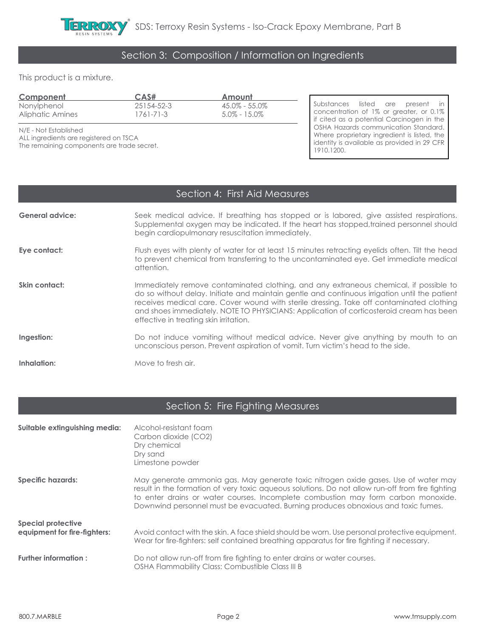

# Section 3: Composition / Information on Ingredients

This product is a mixture.

| Component                                                                                                     | CAS#                          | Amount                            |                                                                                                                                                                                                      |
|---------------------------------------------------------------------------------------------------------------|-------------------------------|-----------------------------------|------------------------------------------------------------------------------------------------------------------------------------------------------------------------------------------------------|
| Nonylphenol<br><b>Aliphatic Amines</b>                                                                        | 25154-52-3<br>$1761 - 71 - 3$ | 45.0% - 55.0%<br>$5.0\% - 15.0\%$ | Substances listed are present in<br>concentration of 1% or greater, or 0.1%                                                                                                                          |
| N/E - Not Established<br>ALL ingredients are registered on TSCA<br>The remaining components are trade secret. |                               |                                   | If cited as a potential Carcinogen in the<br><b>OSHA Hazards communication Standard.</b><br>Where proprietary ingredient is listed, the<br>identity is available as provided in 29 CFR<br>1910.1200. |

### Section 4: First Aid Measures

| <b>General advice:</b> | Seek medical advice. If breathing has stopped or is labored, give assisted respirations.<br>Supplemental oxygen may be indicated. If the heart has stopped, trained personnel should<br>begin cardiopulmonary resuscitation immediately.                                                                                                                                                                                |
|------------------------|-------------------------------------------------------------------------------------------------------------------------------------------------------------------------------------------------------------------------------------------------------------------------------------------------------------------------------------------------------------------------------------------------------------------------|
| Eye contact:           | Flush eyes with plenty of water for at least 15 minutes retracting eyelids often. Tilt the head<br>to prevent chemical from transferring to the uncontaminated eye. Get immediate medical<br>attention.                                                                                                                                                                                                                 |
| Skin contact:          | Immediately remove contaminated clothing, and any extraneous chemical, if possible to<br>do so without delay. Initiate and maintain gentle and continuous irrigation until the patient<br>receives medical care. Cover wound with sterile dressing. Take off contaminated clothing<br>and shoes immediately. NOTE TO PHYSICIANS: Application of corticosteroid cream has been<br>effective in treating skin irritation. |
| Ingestion:             | Do not induce vomiting without medical advice. Never give anything by mouth to an<br>unconscious person. Prevent aspiration of vomit. Turn victim's head to the side.                                                                                                                                                                                                                                                   |
| Inhalation:            | Move to fresh air.                                                                                                                                                                                                                                                                                                                                                                                                      |

# Section 5: Fire Fighting Measures

| Suitable extinguishing media:                             | Alcohol-resistant foam<br>Carbon dioxide (CO2)<br>Dry chemical<br>Dry sand<br>Limestone powder                                                                                                                                                                                                                                                                    |
|-----------------------------------------------------------|-------------------------------------------------------------------------------------------------------------------------------------------------------------------------------------------------------------------------------------------------------------------------------------------------------------------------------------------------------------------|
| <b>Specific hazards:</b>                                  | May generate ammonia gas. May generate toxic nitrogen oxide gases. Use of water may<br>result in the formation of very toxic aqueous solutions. Do not allow run-off from fire fighting<br>to enter drains or water courses. Incomplete combustion may form carbon monoxide.<br>Downwind personnel must be evacuated. Burning produces obnoxious and toxic fumes. |
| <b>Special protective</b><br>equipment for fire-fighters: | Avoid contact with the skin. A face shield should be worn. Use personal protective equipment.<br>Wear for fire-fighters: self contained breathing apparatus for fire fighting if necessary.                                                                                                                                                                       |
| Further information:                                      | Do not allow run-off from fire fighting to enter drains or water courses.<br>OSHA Flammability Class: Combustible Class III B                                                                                                                                                                                                                                     |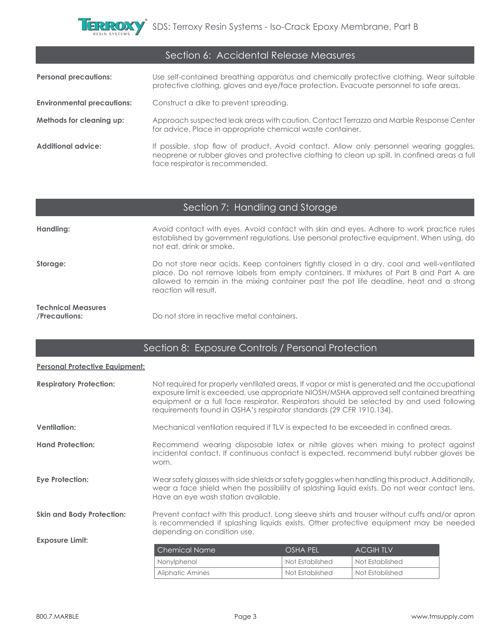

| Section 6: Accidental Release Measures |                                                                                                                                                                                                                             |  |
|----------------------------------------|-----------------------------------------------------------------------------------------------------------------------------------------------------------------------------------------------------------------------------|--|
| <b>Personal precautions:</b>           | Use self-contained breathing apparatus and chemically protective clothing. Wear suitable<br>protective clothing, gloves and eye/face protection. Evacuate personnel to safe areas.                                          |  |
| <b>Environmental precautions:</b>      | Construct a dike to prevent spreading.                                                                                                                                                                                      |  |
| Methods for cleaning up:               | Approach suspected leak areas with caution. Contact Terrazzo and Marble Response Center<br>for advice. Place in appropriate chemical waste container.                                                                       |  |
| Additional advice:                     | If possible, stop flow of product. Avoid contact. Allow only personnel wearing goggles,<br>neoprene or rubber gloves and protective clothing to clean up spill. In confined areas a full<br>face respirator is recommended. |  |

# Section 7: Handling and Storage

| Handling:                                  | Avoid contact with eyes. Avoid contact with skin and eyes. Adhere to work practice rules<br>established by government regulations. Use personal protective equipment. When using, do<br>not eat, drink or smoke.                                                                                          |
|--------------------------------------------|-----------------------------------------------------------------------------------------------------------------------------------------------------------------------------------------------------------------------------------------------------------------------------------------------------------|
| Storage:                                   | Do not store near acids. Keep containers tightly closed in a dry, cool and well-ventilated<br>place. Do not remove labels from empty containers. If mixtures of Part B and Part A are<br>allowed to remain in the mixing container past the pot life deadline, heat and a strong<br>reaction will result. |
| <b>Technical Measures</b><br>/Precautions: | Do not store in reactive metal containers.                                                                                                                                                                                                                                                                |

# Section 8: Exposure Controls / Personal Protection

| <b>Personal Protective Equipment:</b> |                                                                                                                                                                                                                                                                                                                                                                 |                 |                 |  |
|---------------------------------------|-----------------------------------------------------------------------------------------------------------------------------------------------------------------------------------------------------------------------------------------------------------------------------------------------------------------------------------------------------------------|-----------------|-----------------|--|
| <b>Respiratory Protection:</b>        | Not required for properly ventilated areas. If vapor or mist is generated and the occupational<br>exposure limit is exceeded, use appropriate NIOSH/MSHA approved self contained breathing<br>equipment or a full face respirator. Respirators should be selected by and used following<br>requirements found in OSHA's respirator standards (29 CFR 1910.134). |                 |                 |  |
| <b>Ventilation:</b>                   | Mechanical ventilation required if TLV is expected to be exceeded in confined areas.                                                                                                                                                                                                                                                                            |                 |                 |  |
| <b>Hand Protection:</b>               | Recommend wearing disposable latex or nitrile gloves when mixing to protect against<br>incidental contact. If continuous contact is expected, recommend butyl rubber gloves be<br>worn.                                                                                                                                                                         |                 |                 |  |
| Eye Protection:                       | Wearsafety glasses with side shields or safety goggles when handling this product. Additionally,<br>wear a face shield when the possibility of splashing liquid exists. Do not wear contact lens.<br>Have an eye wash station available.                                                                                                                        |                 |                 |  |
| <b>Skin and Body Protection:</b>      | Prevent contact with this product. Long sleeve shirts and trouser without cuffs and/or apron<br>is recommended if splashing liquids exists. Other protective equipment may be needed<br>depending on condition use.                                                                                                                                             |                 |                 |  |
| <b>Exposure Limit:</b>                |                                                                                                                                                                                                                                                                                                                                                                 |                 |                 |  |
|                                       | Chemical Name                                                                                                                                                                                                                                                                                                                                                   | OSHA PEL        | <b>ACGIHTLV</b> |  |
|                                       | Nonylphenol                                                                                                                                                                                                                                                                                                                                                     | Not Established | Not Established |  |

Aliphatic Amines Not Established Not Established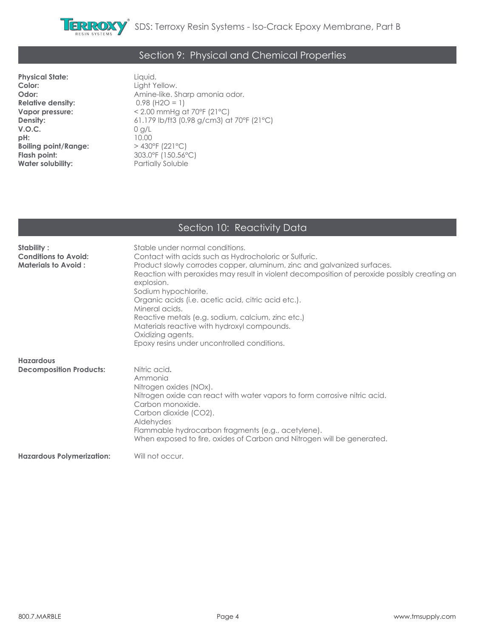

# Section 9: Physical and Chemical Properties

**Physical State:** Liquid.<br> **Color:** Light Ye **Color:** Light Yellow.<br> **Color:** Amine-like. S **Relative density:**<br>Vapor pressure: **V.O.C.** 0 g/L **pH:** 10.00<br>**Boiling point/Range:**  $> 430^{\circ}$ F (221°C) **Boiling point/Range:**<br>Flash point: **Water solubility:** 

Amine-like. Sharp amonia odor.<br>0.98 (H2O = 1) **Vapor pressure:**  $\leq 2.00$  mmHg at 70°F (21°C)<br>**Density:** 61.179 lb/ft3 (0.98 g/cm3) at **Density:** 61.179 lb/ft3 (0.98 g/cm3) at 70°F (21°C) 303.0°F (150.56°C)<br>Partially Soluble

# Section 10: Reactivity Data

| Stability :<br><b>Conditions to Avoid:</b><br><b>Materials to Avoid:</b> | Stable under normal conditions.<br>Contact with acids such as Hydrocholoric or Sulfuric.<br>Product slowly corrodes copper, aluminum, zinc and galvanized surfaces.<br>Reaction with peroxides may result in violent decomposition of peroxide possibly creating an<br>explosion.<br>Sodium hypochlorite.<br>Organic acids (i.e. acetic acid, citric acid etc.).<br>Mineral acids.<br>Reactive metals (e.g. sodium, calcium, zinc etc.)<br>Materials reactive with hydroxyl compounds.<br>Oxidizing agents.<br>Epoxy resins under uncontrolled conditions. |
|--------------------------------------------------------------------------|------------------------------------------------------------------------------------------------------------------------------------------------------------------------------------------------------------------------------------------------------------------------------------------------------------------------------------------------------------------------------------------------------------------------------------------------------------------------------------------------------------------------------------------------------------|
| <b>Hazardous</b><br><b>Decomposition Products:</b>                       | Nitric acid.<br>Ammonia<br>Nitrogen oxides (NOx).<br>Nitrogen oxide can react with water vapors to form corrosive nitric acid.<br>Carbon monoxide.<br>Carbon dioxide (CO2).<br>Aldehydes<br>Flammable hydrocarbon fragments (e.g., acetylene).<br>When exposed to fire, oxides of Carbon and Nitrogen will be generated.                                                                                                                                                                                                                                   |
| <b>Hazardous Polymerization:</b>                                         | Will not occur.                                                                                                                                                                                                                                                                                                                                                                                                                                                                                                                                            |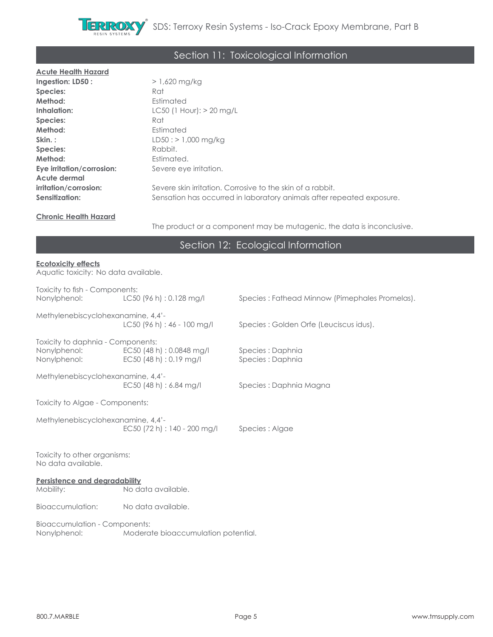

# Section 11: Toxicological Information

| <b>Acute Health Hazard</b> |                                                                       |
|----------------------------|-----------------------------------------------------------------------|
| Ingestion: LD50 :          | $> 1,620$ mg/kg                                                       |
| Species:                   | Rat                                                                   |
| Method:                    | Estimated                                                             |
| Inhalation:                | $LC50$ (1 Hour): $> 20$ mg/L                                          |
| Species:                   | Rat                                                                   |
| Method:                    | Estimated                                                             |
| Skin.:                     | $LD50: > 1,000$ mg/kg                                                 |
| Species:                   | Rabbit.                                                               |
| Method:                    | Estimated.                                                            |
| Eye irritation/corrosion:  | Severe eye irritation.                                                |
| Acute dermal               |                                                                       |
| irritation/corrosion:      | Severe skin irritation. Corrosive to the skin of a rabbit.            |
| Sensitization:             | Sensation has occurred in laboratory animals after repeated exposure. |
|                            |                                                                       |

**Chronic Health Hazard**

The product or a component may be mutagenic, the data is inconclusive.

### Section 12: Ecological Information

#### **Ecotoxicity effects**

Aquatic toxicity: No data available.

| Species: Fathead Minnow (Pimephales Promelas). |  |  |  |
|------------------------------------------------|--|--|--|
|                                                |  |  |  |
|                                                |  |  |  |
|                                                |  |  |  |
|                                                |  |  |  |
|                                                |  |  |  |
|                                                |  |  |  |
|                                                |  |  |  |
|                                                |  |  |  |
| Toxicity to Algae - Components:                |  |  |  |
|                                                |  |  |  |
|                                                |  |  |  |
|                                                |  |  |  |
|                                                |  |  |  |
|                                                |  |  |  |

#### **Persistence and degradability**

| Mobility:                     | No data available.                  |  |  |  |
|-------------------------------|-------------------------------------|--|--|--|
| Bioaccumulation:              | No data available.                  |  |  |  |
| Bioaccumulation - Components: |                                     |  |  |  |
| Nonylphenol:                  | Moderate bioaccumulation potential. |  |  |  |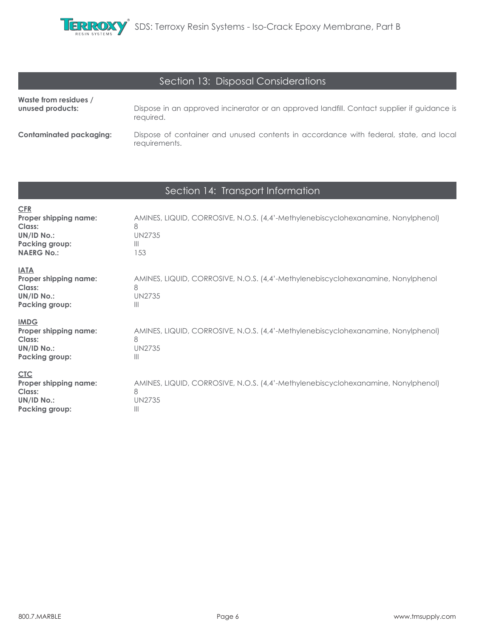

### Section 13: Disposal Considerations

**Waste from residues / unused products: Dispose in an approved incinerator or an approved landfill. Contact supplier if guidance is** required. **Contaminated packaging:** Dispose of container and unused contents in accordance with federal, state, and local requirements.

### Section 14: Transport Information

| CFR<br>Proper shipping name:<br>Class:<br>UN/ID No.:<br>Packing group:<br><b>NAERG No.:</b> | AMINES, LIQUID, CORROSIVE, N.O.S. (4,4'-Methylenebiscyclohexanamine, Nonylphenol)<br>8<br><b>UN2735</b><br>$\mathbf{III}$<br>153 |
|---------------------------------------------------------------------------------------------|----------------------------------------------------------------------------------------------------------------------------------|
| <b>IATA</b><br>Proper shipping name:<br>Class:<br>UN/ID No.:<br>Packing group:              | AMINES, LIQUID, CORROSIVE, N.O.S. (4,4'-Methylenebiscyclohexanamine, Nonylphenol<br>8<br><b>UN2735</b><br>$\mathbb{H}$           |
| <b>IMDG</b><br>Proper shipping name:<br>Class:<br>UN/ID No.:<br>Packing group:              | AMINES, LIQUID, CORROSIVE, N.O.S. (4,4'-Methylenebiscyclohexanamine, Nonylphenol)<br>8<br><b>UN2735</b><br>$\mathbb{H}$          |
| <b>CTC</b><br>Proper shipping name:<br>Class:<br>UN/ID No.:<br>Packing group:               | AMINES, LIQUID, CORROSIVE, N.O.S. (4,4'-Methylenebiscyclohexanamine, Nonylphenol)<br>8<br><b>UN2735</b><br>$\mathbb{H}$          |